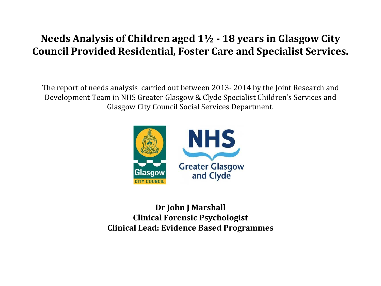### **Needs Analysis of Children aged 1½ - 18 years in Glasgow City Council Provided Residential, Foster Care and Specialist Services.**

The report of needs analysis carried out between 2013- 2014 by the Joint Research and Development Team in NHS Greater Glasgow & Clyde Specialist Children's Services and Glasgow City Council Social Services Department.



**Dr John J Marshall Clinical Forensic Psychologist Clinical Lead: Evidence Based Programmes**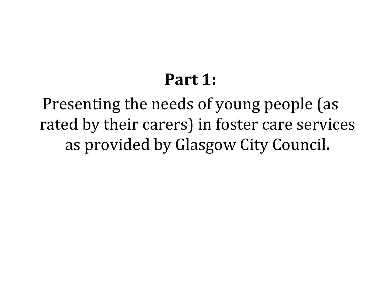# **Part 1:**

Presenting the needs of young people (as rated by their carers) in foster care services as provided by Glasgow City Council**.**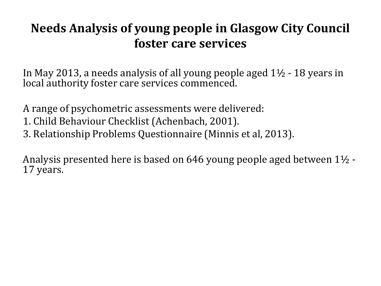## **Needs Analysis of young people in Glasgow City Council foster care services**

In May 2013, a needs analysis of all young people aged 1½ - 18 years in local authority foster care services commenced.

A range of psychometric assessments were delivered:

- 1. Child Behaviour Checklist (Achenbach, 2001).
- 3. Relationship Problems Questionnaire (Minnis et al, 2013).

Analysis presented here is based on 646 young people aged between 1½ -<br>17 years.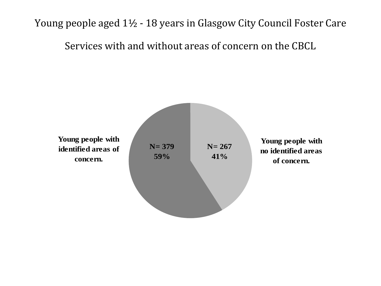Young people aged 1½ - 18 years in Glasgow City Council Foster Care

Services with and without areas of concern on the CBCL

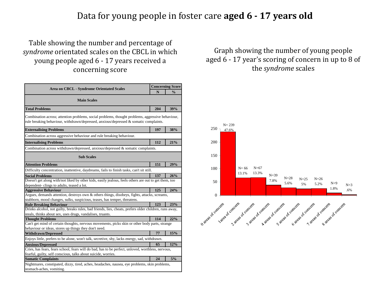#### Data for young people in foster care **aged 6 - 17 years old**

#### Table showing the number and percentage of *syndrome* orientated scales on the CBCL in which young people aged 6 - 17 years received a concerning score

| <b>Area on CBCL - Syndrome Orientated Scales</b>                                                                                                                                             |     | <b>Concerning Score</b> |
|----------------------------------------------------------------------------------------------------------------------------------------------------------------------------------------------|-----|-------------------------|
|                                                                                                                                                                                              |     | $\frac{0}{0}$           |
| <b>Main Scales</b>                                                                                                                                                                           |     |                         |
| <b>Total Problems</b>                                                                                                                                                                        | 204 | 39%                     |
| Combination across; attention problems, social problems, thought problems, aggressive behaviour,<br>rule breaking behaviour, withdrawn/depressed, anxious/depressed $\&$ somatic complaints. |     |                         |
| <b>Externalising Problems</b>                                                                                                                                                                | 197 | 38%                     |
| Combination across aggressive behaviour and rule breaking behaviour.                                                                                                                         |     |                         |
| <b>Internalising Problems</b>                                                                                                                                                                | 112 | 21%                     |
| Combination across withdrawn/depressed, anxious/depressed $\&$ somatic complaints.                                                                                                           |     |                         |
| <b>Sub Scales</b>                                                                                                                                                                            |     |                         |
| <b>Attention Problems</b>                                                                                                                                                                    | 151 | 29%                     |
| Difficulty concentration, inattentive, daydreams, fails to finish tasks, can't sit still.                                                                                                    |     |                         |
| <b>Social Problems</b>                                                                                                                                                                       | 137 | 26%                     |
| Doesn't get along with/not liked by other kids, easily jealous, feels others are out to get them, too                                                                                        |     |                         |
| dependent-clings to adults, teased a lot.                                                                                                                                                    |     |                         |
| <b>Aggressive Behaviour</b>                                                                                                                                                                  | 125 | 24%                     |
| Argues, demands attention, destroys own & others things, disobeys, fights, attacks, screams,                                                                                                 |     |                         |
| stubborn, mood changes, sulks, suspicious, teases, has temper, threatens.                                                                                                                    |     |                         |
| <b>Rule Breaking Behaviour</b>                                                                                                                                                               | 123 | 23%                     |
| Drinks alcohol, not guilty, breaks rules, bad friends, lies, cheats, prefers older children, runs away,                                                                                      |     |                         |
| steals, thinks about sex, uses drugs, vandalises, truants.                                                                                                                                   |     |                         |
| <b>Thought Problems</b>                                                                                                                                                                      | 114 | 22%                     |
| Can't get mind of certain thoughts, nervous movements, picks skin or other body parts, strange                                                                                               |     |                         |
| behaviour or ideas, stores up things they don't need.                                                                                                                                        | 77  | 15%                     |
| <b>Withdrawn/Depressed</b>                                                                                                                                                                   |     |                         |
| Enjoys little, prefers to be alone, won't talk, secretive, shy, lacks energy, sad, withdrawn.                                                                                                |     |                         |
| <b>Anxious/Depressed</b>                                                                                                                                                                     | 65  | 12%                     |
| Cries, has fears, fears school, fears will do bad, has to be perfect, unloved, worthless, nervous,                                                                                           |     |                         |
| fearful, guilty, self conscious, talks about suicide, worries.                                                                                                                               |     | 5%                      |
| <b>Somatic Complaints</b>                                                                                                                                                                    | 24  |                         |
| Nightmares, constipated, dizzy, tired, aches, headaches, nausea, eye problems, skin problems,                                                                                                |     |                         |
| stomach-aches, vomiting.                                                                                                                                                                     |     |                         |

#### Graph showing the number of young people aged 6 - 17 year's scoring of concern in up to 8 of the *syndrome* scales

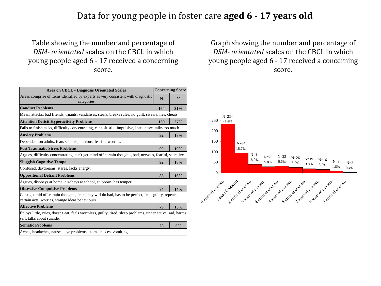#### Data for young people in foster care **aged 6 - 17 years old**

#### Table showing the number and percentage of *DSM- orientated* scales on the CBCL in which young people aged 6 - 17 received a concerning score**.**

| <b>Area on CBCL - Diagnosis Orientated Scales</b>                                                                                                        |     | <b>Concerning Score</b> |
|----------------------------------------------------------------------------------------------------------------------------------------------------------|-----|-------------------------|
| Areas comprise of items identified by experts as very consistent with diagnostic<br>categories                                                           | N   | $\frac{0}{0}$           |
| <b>Conduct Problems</b>                                                                                                                                  | 164 | 31%                     |
| Mean, attacks, bad friends, truants, vandalises, steals, breaks rules, no guilt, swears, lies, cheats.                                                   |     |                         |
| <b>Attention Deficit Hyperactivity Problems</b>                                                                                                          | 139 | 27%                     |
| Fails to finish tasks, difficulty concentrating, can't sit still, impulsive, inattentive, talks too much.                                                |     |                         |
| <b>Anxiety Problems</b>                                                                                                                                  | 92  | 18%                     |
| Dependent on adults, fears schools, nervous, fearful, worries.                                                                                           |     |                         |
| <b>Post Traumatic Stress Problems</b>                                                                                                                    | 99  | 19%                     |
| Argues, difficulty concentrating, can't get mind off certain thoughts, sad, nervous, fearful, secretive.                                                 |     |                         |
| <b>Sluggish Cognitive Tempo</b>                                                                                                                          | 92  | 18%                     |
| Confused, daydreams, stares, lacks energy.                                                                                                               |     |                         |
| <b>Oppositional Defiant Problems</b>                                                                                                                     | 85  | 16%                     |
| Argues, disobeys at home, disobeys at school, stubborn, has temper.                                                                                      |     |                         |
| <b>Obsessive Compulsive Problems</b>                                                                                                                     | 74  | 14%                     |
| Can't get mid off certain thoughts, fears they will do bad, has to be perfect, feels guilty, repeats<br>certain acts, worries, strange ideas/behaviours. |     |                         |
| <b>Affective Problems</b>                                                                                                                                | 79  | 15%                     |
| Enjoys little, cries, doesn't eat, feels worthless, guilty, tired, sleep problems, under active, sad, harms<br>self, talks about suicide.                |     |                         |
| <b>Somatic Problems</b>                                                                                                                                  | 28  | 5%                      |
| Aches, headaches, nausea, eye problems, stomach aces, vomiting.                                                                                          |     |                         |

Graph showing the number and percentage of *DSM- orientated* scales on the CBCL in which young people aged 6 - 17 received a concerning score**.**

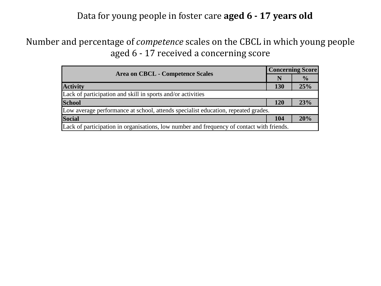#### Data for young people in foster care **aged 6 - 17 years old**

#### Number and percentage of *competence* scales on the CBCL in which young people aged 6 - 17 received a concerning score

| <b>Area on CBCL - Competence Scales</b>                                                   | <b>Concerning Score</b> |               |  |
|-------------------------------------------------------------------------------------------|-------------------------|---------------|--|
|                                                                                           | N                       | $\frac{1}{2}$ |  |
| <b>Activity</b>                                                                           | 130                     | 25%           |  |
| Lack of participation and skill in sports and/or activities                               |                         |               |  |
| <b>School</b>                                                                             | <b>120</b>              | 23%           |  |
| Low average performance at school, attends specialist education, repeated grades.         |                         |               |  |
| <b>Social</b>                                                                             | 104                     | 20%           |  |
| Lack of participation in organisations, low number and frequency of contact with friends. |                         |               |  |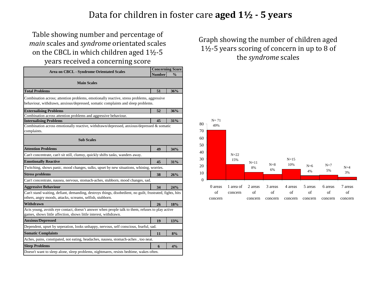#### Data for children in foster care **aged 1½ - 5 years**

#### Table showing number and percentage of *main* scales and *syndrome* orientated scales on the CBCL in which children aged 1½-5 years received a concerning score

| <b>Area on CBCL - Syndrome Orientated Scales</b>                                                                                                                             |    | <b>Concerning Score</b> |
|------------------------------------------------------------------------------------------------------------------------------------------------------------------------------|----|-------------------------|
|                                                                                                                                                                              |    | $\frac{0}{0}$           |
| <b>Main Scales</b>                                                                                                                                                           |    |                         |
| <b>Total Problems</b>                                                                                                                                                        | 51 | 36%                     |
| Combination across; attention problems, emotionally reactive, stress problems, aggressive<br>behaviour, withdrawn, anxious/depressed, somatic complaints and sleep problems. |    |                         |
| <b>Externalising Problems</b>                                                                                                                                                | 52 | 36%                     |
| Combination across attention problems and aggressive behaviour.                                                                                                              |    |                         |
| <b>Internalising Problems</b>                                                                                                                                                | 45 | 31%                     |
| Combination across emotionally reactive, withdrawn/depressed, anxious/depressed & somatic<br>complaints.                                                                     |    |                         |
| <b>Sub Scales</b>                                                                                                                                                            |    |                         |
| <b>Attention Problems</b>                                                                                                                                                    | 49 | 34%                     |
| Can't concentrate, can't sit still, clumsy, quickly shifts tasks, wanders away.                                                                                              |    |                         |
| <b>Emotionally Reactive</b>                                                                                                                                                  | 45 | 31%                     |
| Twitching, shows panic, mood changes, sulks, upset by new situations, whining, worries.                                                                                      |    |                         |
| <b>Stress problems</b>                                                                                                                                                       | 38 | 26%                     |
| Can't concentrate, nausea, nervous, stomach-aches, stubborn, mood changes, sad.                                                                                              |    |                         |
| <b>Aggressive Behaviour</b>                                                                                                                                                  | 34 | 24%                     |
| Can't stand waiting, defiant, demanding, destroys things, disobedient, no guilt, frustrated, fights, hits<br>others, angry moods, attacks, screams, selfish, stubborn.       |    |                         |
| Withdrawn                                                                                                                                                                    | 26 | 18%                     |
| Acts young, avoids eye contact, doesn't answer when people talk to them, refuses to play active<br>games, shows little affection, shows little interest, withdrawn.          |    |                         |
| <b>Anxious/Depressed</b>                                                                                                                                                     | 19 | 13%                     |
| Dependent, upset by seperation, looks unhappy, nervous, self conscious, fearful, sad.                                                                                        |    |                         |
| <b>Somatic Complaints</b>                                                                                                                                                    | 11 | 8%                      |
| Aches, pains, constipated, not eating, headaches, nausea, stomach-aches, too neat.                                                                                           |    |                         |
| <b>Sleep Problems</b>                                                                                                                                                        | 6  | 4%                      |
| Doesn't want to sleep alone, sleep problems, nightmares, resists bedtime, wakes often.                                                                                       |    |                         |

Graph showing the number of children aged 1½-5 years scoring of concern in up to 8 of the *syndrome* scales

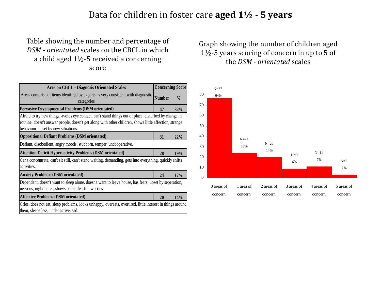#### Data for children in foster care **aged 1½ - 5 years**

#### Table showing the number and percentage of *DSM - orientated* scales on the CBCL in which a child aged 1½-5 received a concerning score

| <b>Area on CBCL - Diagnosis Orientated Scales</b>                                                                                                                                                                                                      |               | <b>Concerning Score</b> |
|--------------------------------------------------------------------------------------------------------------------------------------------------------------------------------------------------------------------------------------------------------|---------------|-------------------------|
| Areas comprise of items identified by experts as very consistent with diagnostic<br>categories                                                                                                                                                         | <b>Number</b> | $\frac{0}{0}$           |
| <b>Pervasive Developmental Problems (DSM orientated)</b>                                                                                                                                                                                               | 47            | 32%                     |
| Afraid to try new things, avoids eye contact, can't stand things out of place, disturbed by change in<br>routine, doesn't answer people, doesn't get along with other children, shows little affection, strange<br>behaviour, upset by new situations. |               |                         |
| <b>Oppositional Defiant Problems (DSM orientated)</b>                                                                                                                                                                                                  | 31            | 22%                     |
| Defiant, disobedient, angry moods, stubborn, temper, uncooperative.                                                                                                                                                                                    |               |                         |
| <b>Attention Deficit Hyperactivity Problems (DSM orientated)</b>                                                                                                                                                                                       | 28            | 19%                     |
| Can't concentrate, can't sit still, can't stand waiting, demanding, gets into everything, quickly shifts<br>activities.                                                                                                                                |               |                         |
| <b>Anxiety Problems (DSM orientated)</b>                                                                                                                                                                                                               | 24            | 17%                     |
| Dependent, doesn't want to sleep alone, doesn't want to leave house, has fears, upset by seperation,<br>nervous, nightmares, shows panic, fearful, worries.                                                                                            |               |                         |
| <b>Affective Problems (DSM orientated)</b>                                                                                                                                                                                                             | 20            | 14%                     |
| Cries, does not eat, sleep problems, looks unhappy, overeats, overtired, little interest in things around<br>them, sleeps less, under active, sad.                                                                                                     |               |                         |

Graph showing the number of children aged 1½-5 years scoring of concern in up to 5 of the *DSM - orientated* scales

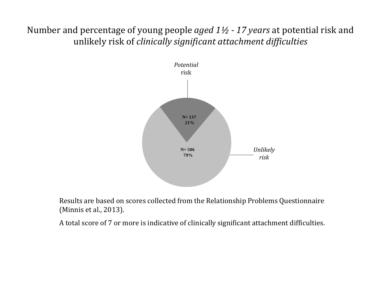Number and percentage of young people *aged 1½ - 17 years* at potential risk and unlikely risk of *clinically significant attachment difficulties*



Results are based on scores collected from the Relationship Problems Questionnaire (Minnis et al., 2013).

A total score of 7 or more is indicative of clinically significant attachment difficulties.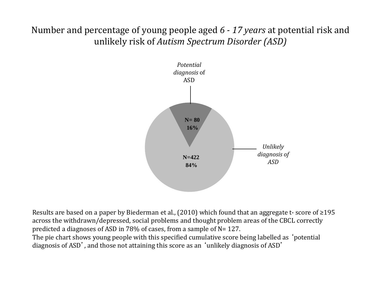Number and percentage of young people aged *6 - 17 years* at potential risk and unlikely risk of *Autism Spectrum Disorder (ASD)*



Results are based on a paper by Biederman et al., (2010) which found that an aggregate t- score of ≥195 across the withdrawn/depressed, social problems and thought problem areas of the CBCL correctly predicted a diagnoses of ASD in 78% of cases, from a sample of N= 127.

The pie chart shows young people with this specified cumulative score being labelled as 'potential diagnosis of ASD', and those not attaining this score as an 'unlikely diagnosis of ASD'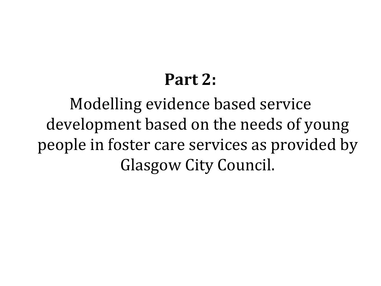# **Part 2:**

Modelling evidence based service development based on the needs of young people in foster care services as provided by Glasgow City Council.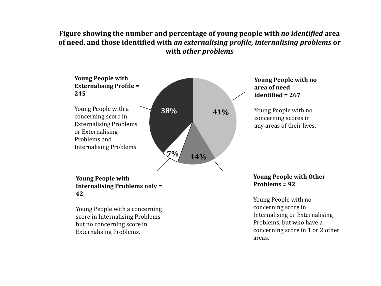#### **Figure showing the number and percentage of young people with** *no identified* **area of need, and those identified with** *an externalising profile, internalising problems* **or with** *other problems*



#### **Young People with Internalising Problems only = 42**

Young People with a concerning score in Internalising Problems but no concerning score in Externalising Problems.

**Young People with Other Problems = 92**

Young People with no concerning score in Internalising or Externalising Problems, but who have a concerning score in 1 or 2 other areas.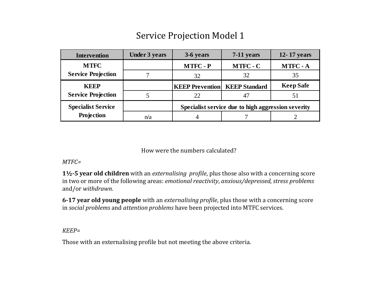#### **Intervention Under 3 years 3-6 years 7-11 years 12- 17 years MTFC - P MTFC - C MTFC - A** 7 32 32 35 **KEEP Prevention KEEP Standard Keep Safe** 5 22 47 51 n/a 1 4 7 2 **MTFC Service Projection KEEP Service Projection Specialist Service Projection Specialist service due to high aggression severity**

#### Service Projection Model 1

How were the numbers calculated?

#### *MTFC=*

**1½-5 year old children** with an *externalising profile*, plus those also with a concerning score in two or more of the following areas: *emotional reactivity*, *anxious/depressed, stress problems* and/or *withdrawn.*

**6-17 year old young people** with an *externalising profile*, plus those with a concerning score in *social problems* and *attention problems* have been projected into MTFC services.

*KEEP=*

Those with an externalising profile but not meeting the above criteria.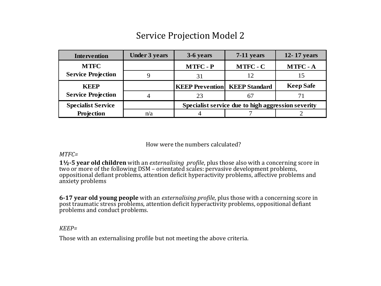#### Service Projection Model 2

| <b>Intervention</b>       | <b>Under 3 years</b> | 3-6 years                              | $7-11$ years                                       | 12-17 years      |
|---------------------------|----------------------|----------------------------------------|----------------------------------------------------|------------------|
| <b>MTFC</b>               |                      | <b>MTFC - P</b>                        | <b>MTFC - C</b>                                    | <b>MTFC - A</b>  |
| <b>Service Projection</b> |                      |                                        | 12                                                 | 15               |
| <b>KEEP</b>               |                      | <b>KEEP Prevention   KEEP Standard</b> |                                                    | <b>Keep Safe</b> |
| <b>Service Projection</b> |                      | 23                                     |                                                    |                  |
| <b>Specialist Service</b> |                      |                                        | Specialist service due to high aggression severity |                  |
| Projection                | n/a                  |                                        |                                                    |                  |

How were the numbers calculated?

#### *MTFC=*

**1½-5 year old children** with an *externalising profile*, plus those also with a concerning score in two or more of the following DSM – orientated scales: pervasive development problems, oppositional defiant problems, attention deficit hyperactivity problems, affective problems and anxiety problems

**6-17 year old young people** with an *externalising profile*, plus those with a concerning score in post traumatic stress problems, attention deficit hyperactivity problems, oppositional defiant problems and conduct problems.

*KEEP=*

Those with an externalising profile but not meeting the above criteria.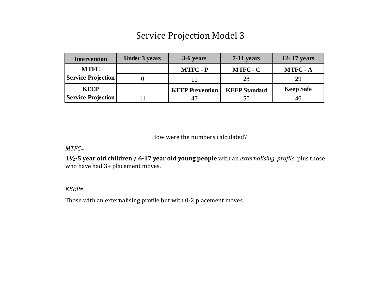#### Service Projection Model 3

| <b>Intervention</b>       | <b>Under 3 years</b> | 3-6 years              | 7-11 years           | 12-17 years      |
|---------------------------|----------------------|------------------------|----------------------|------------------|
| <b>MTFC</b>               |                      | <b>MTFC - P</b>        | <b>MTFC - C</b>      | <b>MTFC - A</b>  |
| <b>Service Projection</b> |                      |                        | 28                   | 29               |
| <b>KEEP</b>               |                      | <b>KEEP Prevention</b> | <b>KEEP Standard</b> | <b>Keep Safe</b> |
| <b>Service Projection</b> |                      |                        | 50                   | 46               |

How were the numbers calculated?

*MTFC=*

**1½-5 year old children / 6-17 year old young people** with an *externalising profile*, plus those who have had 3+ placement moves.

*KEEP=*

Those with an externalising profile but with 0-2 placement moves.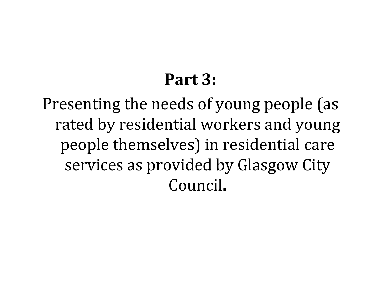# **Part 3:**

Presenting the needs of young people (as rated by residential workers and young people themselves) in residential care services as provided by Glasgow City Council**.**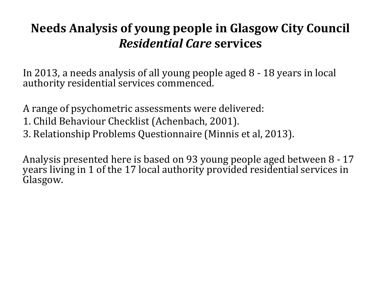## **Needs Analysis of young people in Glasgow City Council**  *Residential Care* **services**

In 2013, a needs analysis of all young people aged 8 - 18 years in local authority residential services commenced.

A range of psychometric assessments were delivered:

- 1. Child Behaviour Checklist (Achenbach, 2001).
- 3. Relationship Problems Questionnaire (Minnis et al, 2013).

Analysis presented here is based on 93 young people aged between 8 - 17 years living in 1 of the 17 local authority provided residential services in Glasgow.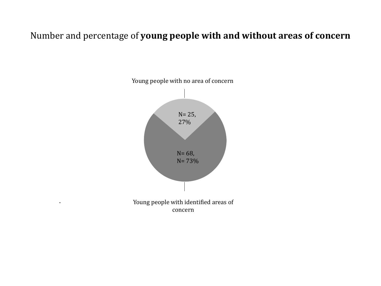#### Number and percentage of **young people with and without areas of concern**

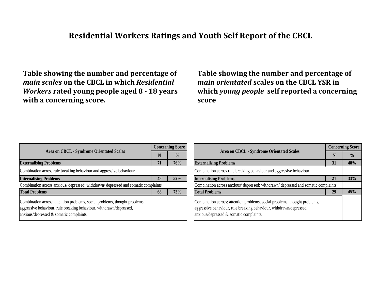#### **Residential Workers Ratings and Youth Self Report of the CBCL**

**Table showing the number and percentage of**  *main scales* **on the CBCL in which** *Residential Workers* **rated young people aged 8 - 18 years with a concerning score.**

**Table showing the number and percentage of**  *main orientated* **scales on the CBCL YSR in which** *young people* **self reported a concerning score**

| Area on CBCL - Syndrome Orientated Scales                                                                                                                                                    |    | <b>Concerning Score</b> |  |  |
|----------------------------------------------------------------------------------------------------------------------------------------------------------------------------------------------|----|-------------------------|--|--|
|                                                                                                                                                                                              |    | $\frac{0}{0}$           |  |  |
| <b>Externalising Problems</b>                                                                                                                                                                | 71 | 76%                     |  |  |
| Combination across rule breaking behaviour and aggressive behaviour                                                                                                                          |    |                         |  |  |
| <b>Internalising Problems</b>                                                                                                                                                                | 48 | 52%                     |  |  |
| Combination across anxious/ depressed; withdrawn/ depressed and somatic complaints                                                                                                           |    |                         |  |  |
| <b>Total Problems</b>                                                                                                                                                                        | 68 | 73%                     |  |  |
| Combination across; attention problems, social problems, thought problems,<br>aggressive behaviour, rule breaking behaviour, withdrawn/depressed,<br>anxious/depressed & somatic complaints. |    |                         |  |  |

| Area on CBCL - Syndrome Orientated Scales                                                                                                                                                    |    | <b>Concerning Score</b> |
|----------------------------------------------------------------------------------------------------------------------------------------------------------------------------------------------|----|-------------------------|
|                                                                                                                                                                                              |    | $\frac{0}{0}$           |
| <b>Externalising Problems</b>                                                                                                                                                                | 31 | 48%                     |
| Combination across rule breaking behaviour and aggressive behaviour                                                                                                                          |    |                         |
| <b>Internalising Problems</b>                                                                                                                                                                |    | 33%                     |
| Combination across anxious/ depressed; withdrawn/ depressed and somatic complaints                                                                                                           |    |                         |
| <b>Total Problems</b>                                                                                                                                                                        | 29 | 45%                     |
| Combination across; attention problems, social problems, thought problems,<br>aggressive behaviour, rule breaking behaviour, withdrawn/depressed,<br>anxious/depressed & somatic complaints. |    |                         |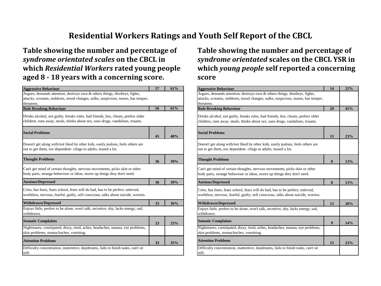#### **Residential Workers Ratings and Youth Self Report of the CBCL**

**Table showing the number and percentage of**  *syndrome orientated scales* **on the CBCL in which** *Residential Workers* **rated young people aged 8 - 18 years with a concerning score.**

| <b>Aggressive Behaviour</b>                                                                                                                                           | 57 | 61% |
|-----------------------------------------------------------------------------------------------------------------------------------------------------------------------|----|-----|
| Argues, demands attention, destroys own & others things, disobeys, fights,                                                                                            |    |     |
| attacks, screams, stubborn, mood changes, sulks, suspicious, teases, has temper,                                                                                      |    |     |
| threatens.                                                                                                                                                            |    |     |
| <b>Rule Breaking Behaviour</b>                                                                                                                                        | 56 | 61% |
| Drinks alcohol, not guilty, breaks rules, bad friends, lies, cheats, prefers older<br>children, runs away, steals, thinks about sex, uses drugs, vandalises, truants. |    |     |
| <b>Social Problems</b>                                                                                                                                                | 45 | 48% |
| Doesn't get along with/not liked by other kids, easily jealous, feels others are<br>out to get them, too dependent-clings to adults, teased a lot.                    |    |     |
| <b>Thought Problems</b>                                                                                                                                               | 36 | 39% |
| Can't get mind of certain thoughts, nervous movements, picks skin or other<br>body parts, strange behaviour or ideas, stores up things they don't need.               |    |     |
| <b>Anxious/Depressed</b>                                                                                                                                              | 36 | 39% |
| Cries, has fears, fears school, fears will do bad, has to be perfect, unloved,<br>worhtless, nervous, fearful, guilty, self conscious, talks about suicide, worries.  |    |     |
| <b>Withdrawn/Depressed</b>                                                                                                                                            | 33 | 36% |
| Enjoys little, prefers to be alone, won't talk, secretive, shy, lacks energy, sad,<br>withdrawn.                                                                      |    |     |
| <b>Somatic Complaints</b>                                                                                                                                             | 23 | 25% |
| Nightmares, constipated, dizzy, tired, aches, headaches, nausea, eye problems,<br>skin problems, stomachaches, vomiting.                                              |    |     |
| <b>Attention Problems</b>                                                                                                                                             | 33 | 35% |
| Difficulty concentration, inattentive, daydreams, fails to finish tasks, can't sit<br>still.                                                                          |    |     |

**Table showing the number and percentage of**  *syndrome orientated* **scales on the CBCL YSR in which** *young people* **self reported a concerning score**

| <b>Aggressive Behaviour</b>                                                                                                                                                  | 14 | 22% |
|------------------------------------------------------------------------------------------------------------------------------------------------------------------------------|----|-----|
| Argues, demands attention, destroys own & others things, disobeys, fights,<br>attacks, screams, stubborn, mood changes, sulks, suspicious, teases, has temper,<br>threatens. |    |     |
| <b>Rule Breaking Behaviour</b>                                                                                                                                               | 29 | 45% |
| Drinks alcohol, not guilty, breaks rules, bad friends, lies, cheats, prefers older<br>children, runs away, steals, thinks about sex, uses drugs, vandalises, truants.        |    |     |
| <b>Social Problems</b>                                                                                                                                                       | 15 | 23% |
| Doesn't get along with/not liked by other kids, easily jealous, feels others are<br>out to get them, too dependent-clings to adults, teased a lot.                           |    |     |
| <b>Thought Problems</b>                                                                                                                                                      | 8  | 13% |
| Can't get mind of certain thoughts, nervous movements, picks skin or other<br>body parts, strange behaviour or ideas, stores up things they don't need.                      |    |     |
| <b>Anxious/Depressed</b>                                                                                                                                                     | 8  | 13% |
| Cries, has fears, fears school, fears will do bad, has to be perfect, unloved,<br>worhtless, nervous, fearful, guilty, self conscious, talks about suicide, worries.         |    |     |
| <b>Withdrawn/Depressed</b>                                                                                                                                                   | 13 | 20% |
| Enjoys little, prefers to be alone, won't talk, secretive, shy, lacks energy, sad,<br>withdrawn.                                                                             |    |     |
| <b>Somatic Complaints</b>                                                                                                                                                    | 9  | 14% |
| Nightmares, constipated, dizzy, tired, aches, headaches, nausea, eye problems,<br>skin problems, stomachaches, vomitting.                                                    |    |     |
| <b>Attention Problems</b>                                                                                                                                                    | 15 | 23% |
| Difficulty concentration, inattentive, daydreams, fails to finish tasks, can't sit<br>still.                                                                                 |    |     |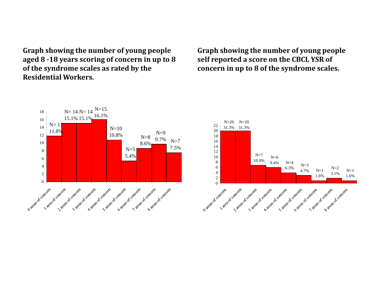**Graph showing the number of young people aged 8 -18 years scoring of concern in up to 8 of the syndrome scales as rated by the Residential Workers.**

**Graph showing the number of young people self reported a score on the CBCL YSR of concern in up to 8 of the syndrome scales.**

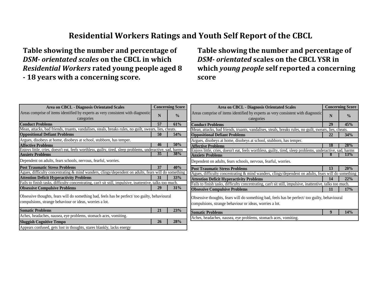#### **Residential Workers Ratings and Youth Self Report of the CBCL**

**Table showing the number and percentage of**  *DSM- orientated scales* **on the CBCL in which**  *Residential Workers* **rated young people aged 8 - 18 years with a concerning score.**

**Table showing the number and percentage of**  *DSM- orientated* **scales on the CBCL YSR in which** *young people* **self reported a concerning score**

| <b>Area on CBCL - Diagnosis Orientated Scales</b>                                                          |    | <b>Concerning Score</b> | <b>Area on CBCL - Diagnosis Orientated Scales</b>                                                          |    | <b>Concerning Score</b> |
|------------------------------------------------------------------------------------------------------------|----|-------------------------|------------------------------------------------------------------------------------------------------------|----|-------------------------|
| Areas comprise of items identified by experts as very consistent with diagnostic                           | N  | $\frac{0}{0}$           | Areas comprise of items identified by experts as very consistent with diagnostic                           |    |                         |
| categories                                                                                                 |    |                         | categories                                                                                                 | N  | $\frac{0}{0}$           |
| <b>Conduct Problems</b>                                                                                    | 57 | 61%                     | <b>Conduct Problems</b>                                                                                    | 29 | 45%                     |
| Mean, attacks, bad friends, truants, vandalises, steals, breaks rules, no guilt, swears, lies, cheats.     |    |                         | Mean, attacks, bad friends, truants, vandalises, steals, breaks rules, no guilt, swears, lies, cheats.     |    |                         |
| <b>Oppositional Defiant Problems</b>                                                                       | 50 | 54%                     | <b>Oppositional Defiant Problems</b>                                                                       | 22 | 34%                     |
| Argues, disobeys at home, disobeys at school, stubborn, has temper.                                        |    |                         | Argues, disobeys at home, disobeys at school, stubborn, has temper.                                        |    |                         |
| <b>Affective Problems</b>                                                                                  | 46 | 50%                     | <b>Affective Problems</b>                                                                                  | 18 | 28%                     |
| Enjoys little, cries, doesn't eat, feels worthless, guilty, tired, sleep problems, underactive, sad, harms |    |                         | Enjoys little, cries, doesn't eat, feels worthless, guilty, tired, sleep problems, underactive, sad, harms |    |                         |
| <b>Anxiety Problems</b>                                                                                    | 35 | 38%                     | <b>Anxiety Problems</b>                                                                                    |    | 13%                     |
| Dependent on adults, fears schools, nervous, fearful, worries.                                             |    |                         | Dependent on adults, fears schools, nervous, fearful, worries.                                             |    |                         |
| <b>Post Traumatic Stress Problems</b>                                                                      | 37 | 40%                     | <b>Post Traumatic Stress Problems</b>                                                                      | 13 | 20%                     |
| Agues, difficulty concentrating $\&$ mind wanders, clingy/dependent on adults, fears will do something     |    |                         | Agues, difficulty concentrating & mind wanders, clingy/dependent on adults, fears will do something        |    |                         |
| <b>Attention Deficit Hyperactivity Problems</b>                                                            | 31 | 33%                     | <b>Attention Deficit Hyperactivity Problems</b>                                                            | 14 | 22%                     |
| Fails to finish tasks, difficulty concentrating, can't sit still, impulsive, inattentive, talks too much.  |    |                         | Fails to finish tasks, difficulty concentrating, can't sit still, impulsive, inattentive, talks too much.  |    |                         |
| <b>Obsessive Compulsive Problems</b>                                                                       | 29 | 31%                     | <b>Obsessive Compulsive Problems</b>                                                                       | 11 | 17%                     |
| Obsessive thoughts, fears will do something bad, feels has be perfect/too guilty, behavioural              |    |                         | Obsessive thoughts, fears will do something bad, feels has be perfect/too guilty, behavioural              |    |                         |
| compulsions, strange behaviour or ideas, worries a lot.                                                    |    |                         |                                                                                                            |    |                         |
|                                                                                                            |    |                         | compulsions, strange behaviour or ideas, worries a lot.                                                    |    |                         |
| <b>Somatic Problems</b>                                                                                    | 21 | 23%                     | <b>Somatic Problems</b>                                                                                    |    | 14%                     |
| Aches, headaches, nausea, eye problems, stomach aces, vomiting.                                            |    |                         | Aches, headaches, nausea, eye problems, stomach aces, vomiting.                                            |    |                         |
| <b>Sluggish Cognitive Tempo</b>                                                                            | 26 | 28%                     |                                                                                                            |    |                         |
| Appears confused, gets lost in thoughts, stares blankly, lacks energy                                      |    |                         |                                                                                                            |    |                         |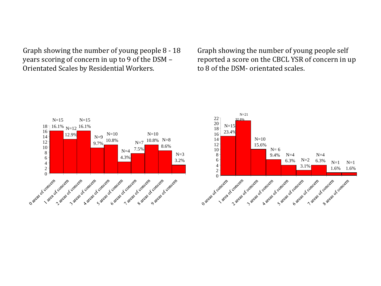Graph showing the number of young people 8 - 18 years scoring of concern in up to 9 of the DSM – Orientated Scales by Residential Workers.

Graph showing the number of young people self reported a score on the CBCL YSR of concern in up to 8 of the DSM- orientated scales.

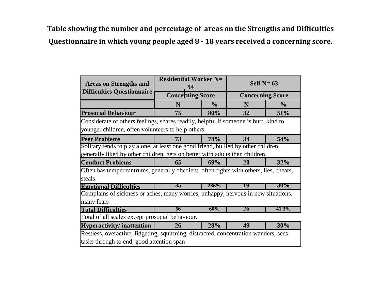**Table showing the number and percentage of areas on the Strengths and Difficulties Questionnaire in which young people aged 8 - 18 years received a concerning score.**

| <b>Areas on Strengths and</b>                                                          | <b>Residential Worker N=</b><br>94 |               | Self $N=63$             |               |
|----------------------------------------------------------------------------------------|------------------------------------|---------------|-------------------------|---------------|
| <b>Difficulties Questionnaire</b>                                                      | <b>Concerning Score</b>            |               | <b>Concerning Score</b> |               |
|                                                                                        | N                                  | $\frac{6}{6}$ | N                       | $\frac{6}{9}$ |
| <b>Prosocial Behaviour</b>                                                             | 75                                 | 80%           | 32                      | 51%           |
| Considerate of others feelings, shares readily, helpful if someone is hurt, kind to    |                                    |               |                         |               |
| younger children, often volunteers to help others.                                     |                                    |               |                         |               |
| <b>Peer Problems</b>                                                                   | 73                                 | 78%           | 34                      | 54%           |
| Solitary tends to play alone, at least one good friend, bullied by other children,     |                                    |               |                         |               |
| generally liked by other children, gets on better with adults then children.           |                                    |               |                         |               |
| <b>Conduct Problems</b>                                                                | 65                                 | 69%           | 20                      | 32%           |
| Often has temper tantrums, generally obedient, often fights with others, lies, cheats, |                                    |               |                         |               |
| steals.                                                                                |                                    |               |                         |               |
| <b>Emotional Difficulties</b>                                                          | 35                                 | 286%          | 19                      | 30%           |
| Complains of sickness or aches, many worries, unhappy, nervous in new situations,      |                                    |               |                         |               |
| many fears                                                                             |                                    |               |                         |               |
| <b>Total Difficulties</b>                                                              | 56                                 | 60%           | 26                      | 41.3%         |
| Total of all scales except prosocial behaviour.                                        |                                    |               |                         |               |
| <b>Hyperactivity/inattention</b>                                                       | 26                                 | 28%           | 49                      | 30%           |
| Restless, overactive, fidgeting, squirming, distracted, concentration wanders, sees    |                                    |               |                         |               |
| tasks through to end, good attention span                                              |                                    |               |                         |               |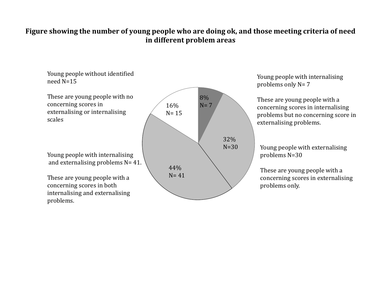#### **Figure showing the number of young people who are doing ok, and those meeting criteria of need in different problem areas**



Young people with internalising problems only N= 7

These are young people with a concerning scores in internalising problems but no concerning score in externalising problems.

Young people with externalising problems N=30

These are young people with a concerning scores in externalising problems only.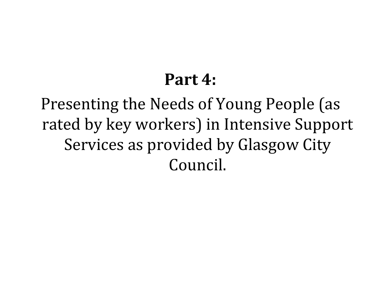# **Part 4:**

Presenting the Needs of Young People (as rated by key workers) in Intensive Support Services as provided by Glasgow City Council.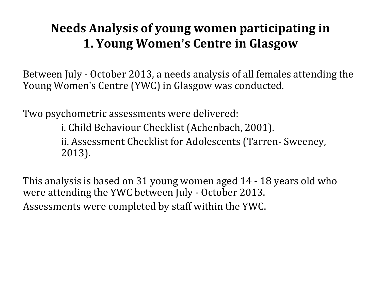## **Needs Analysis of young women participating in 1. Young Women's Centre in Glasgow**

Between July - October 2013, a needs analysis of all females attending the Young Women's Centre (YWC) in Glasgow was conducted.

Two psychometric assessments were delivered:

i. Child Behaviour Checklist (Achenbach, 2001).

ii. Assessment Checklist for Adolescents (Tarren- Sweeney, 2013).

This analysis is based on 31 young women aged 14 - 18 years old who were attending the YWC between July - October 2013. Assessments were completed by staff within the YWC.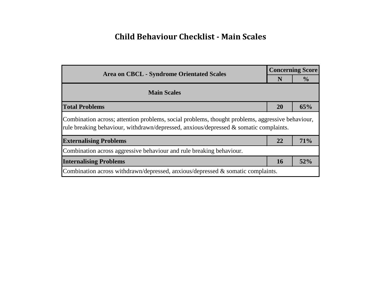#### **Child Behaviour Checklist - Main Scales**

| <b>Area on CBCL - Syndrome Orientated Scales</b>                                                                                                                                          |    | <b>Concerning Score</b> |  |
|-------------------------------------------------------------------------------------------------------------------------------------------------------------------------------------------|----|-------------------------|--|
|                                                                                                                                                                                           |    | $\frac{6}{6}$           |  |
| <b>Main Scales</b>                                                                                                                                                                        |    |                         |  |
| <b>Total Problems</b>                                                                                                                                                                     | 20 | 65%                     |  |
| Combination across; attention problems, social problems, thought problems, aggressive behaviour,<br>rule breaking behaviour, withdrawn/depressed, anxious/depressed & somatic complaints. |    |                         |  |
| <b>Externalising Problems</b>                                                                                                                                                             | 22 | 71%                     |  |
| Combination across aggressive behaviour and rule breaking behaviour.                                                                                                                      |    |                         |  |
| <b>Internalising Problems</b>                                                                                                                                                             |    | 52%                     |  |
| Combination across withdrawn/depressed, anxious/depressed & somatic complaints.                                                                                                           |    |                         |  |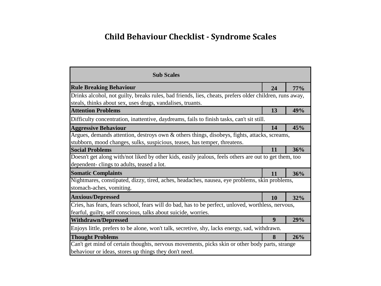#### **Child Behaviour Checklist - Syndrome Scales**

| <b>Sub Scales</b>                                                                                       |    |     |
|---------------------------------------------------------------------------------------------------------|----|-----|
| <b>Rule Breaking Behaviour</b>                                                                          | 24 | 77% |
| Drinks alcohol, not guilty, breaks rules, bad friends, lies, cheats, prefers older children, runs away, |    |     |
| steals, thinks about sex, uses drugs, vandalises, truants.                                              |    |     |
| <b>Attention Problems</b>                                                                               | 13 | 49% |
| Difficulty concentration, inattentive, daydreams, fails to finish tasks, can't sit still.               |    |     |
| <b>Aggressive Behaviour</b>                                                                             | 14 | 45% |
| Argues, demands attention, destroys own $\&$ others things, disobeys, fights, attacks, screams,         |    |     |
| stubborn, mood changes, sulks, suspicious, teases, has temper, threatens.                               |    |     |
| <b>Social Problems</b>                                                                                  | 11 | 36% |
| Doesn't get along with/not liked by other kids, easily jealous, feels others are out to get them, too   |    |     |
| dependent-clings to adults, teased a lot.                                                               |    |     |
| <b>Somatic Complaints</b>                                                                               | 11 | 36% |
| Nightmares, constipated, dizzy, tired, aches, headaches, nausea, eye problems, skin problems,           |    |     |
| stomach-aches, vomiting.                                                                                |    |     |
| <b>Anxious/Depressed</b>                                                                                | 10 | 32% |
| Cries, has fears, fears school, fears will do bad, has to be perfect, unloved, worthless, nervous,      |    |     |
| fearful, guilty, self conscious, talks about suicide, worries.                                          |    |     |
| <b>Withdrawn/Depressed</b>                                                                              | 9  | 29% |
| Enjoys little, prefers to be alone, won't talk, secretive, shy, lacks energy, sad, withdrawn.           |    |     |
| <b>Thought Problems</b>                                                                                 | 8  | 26% |
| Can't get mind of certain thoughts, nervous movements, picks skin or other body parts, strange          |    |     |
| behaviour or ideas, stores up things they don't need.                                                   |    |     |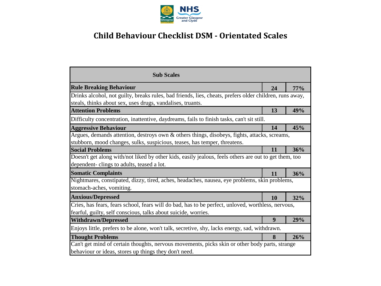

#### **Child Behaviour Checklist DSM - Orientated Scales**

| <b>Sub Scales</b>                                                                                                                                                     |    |            |
|-----------------------------------------------------------------------------------------------------------------------------------------------------------------------|----|------------|
| <b>Rule Breaking Behaviour</b>                                                                                                                                        |    | <b>77%</b> |
| Drinks alcohol, not guilty, breaks rules, bad friends, lies, cheats, prefers older children, runs away,<br>steals, thinks about sex, uses drugs, vandalises, truants. |    |            |
| <b>Attention Problems</b>                                                                                                                                             | 13 | 49%        |
| Difficulty concentration, inattentive, daydreams, fails to finish tasks, can't sit still.                                                                             |    |            |
| <b>Aggressive Behaviour</b>                                                                                                                                           | 14 | 45%        |
| Argues, demands attention, destroys own & others things, disobeys, fights, attacks, screams,                                                                          |    |            |
| stubborn, mood changes, sulks, suspicious, teases, has temper, threatens.                                                                                             |    |            |
| <b>Social Problems</b>                                                                                                                                                | 11 | 36%        |
| Doesn't get along with/not liked by other kids, easily jealous, feels others are out to get them, too                                                                 |    |            |
| dependent-clings to adults, teased a lot.                                                                                                                             |    |            |
| <b>Somatic Complaints</b><br>11                                                                                                                                       |    | 36%        |
| Nightmares, constipated, dizzy, tired, aches, headaches, nausea, eye problems, skin problems,<br>stomach-aches, vomiting.                                             |    |            |
| <b>Anxious/Depressed</b>                                                                                                                                              | 10 | 32%        |
| Cries, has fears, fears school, fears will do bad, has to be perfect, unloved, worthless, nervous,                                                                    |    |            |
| fearful, guilty, self conscious, talks about suicide, worries.                                                                                                        |    |            |
| 9<br><b>Withdrawn/Depressed</b>                                                                                                                                       |    | 29%        |
| Enjoys little, prefers to be alone, won't talk, secretive, shy, lacks energy, sad, withdrawn.                                                                         |    |            |
| <b>Thought Problems</b>                                                                                                                                               | 8  | 26%        |
| Can't get mind of certain thoughts, nervous movements, picks skin or other body parts, strange<br>behaviour or ideas, stores up things they don't need.               |    |            |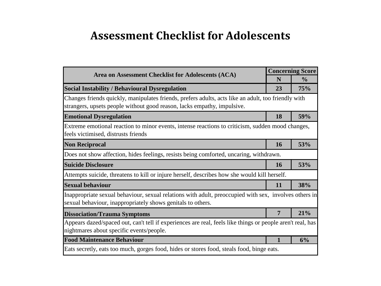### **Assessment Checklist for Adolescents**

| Area on Assessment Checklist for Adolescents (ACA)                                                                                                                             |    | <b>Concerning Score</b> |  |
|--------------------------------------------------------------------------------------------------------------------------------------------------------------------------------|----|-------------------------|--|
|                                                                                                                                                                                | N  | $\frac{6}{6}$           |  |
| <b>Social Instability / Behavioural Dysregulation</b>                                                                                                                          | 23 | 75%                     |  |
| Changes friends quickly, manipulates friends, prefers adults, acts like an adult, too friendly with<br>strangers, upsets people without good reason, lacks empathy, impulsive. |    |                         |  |
| <b>Emotional Dysregulation</b>                                                                                                                                                 | 18 | 59%                     |  |
| Extreme emotional reaction to minor events, intense reactions to criticism, sudden mood changes,<br>feels victimised, distrusts friends                                        |    |                         |  |
| <b>Non Reciprocal</b>                                                                                                                                                          | 16 | 53%                     |  |
| Does not show affection, hides feelings, resists being comforted, uncaring, withdrawn.                                                                                         |    |                         |  |
| <b>Suicide Disclosure</b>                                                                                                                                                      | 16 | 53%                     |  |
| Attempts suicide, threatens to kill or injure herself, describes how she would kill herself.                                                                                   |    |                         |  |
| <b>Sexual behaviour</b>                                                                                                                                                        | 11 | 38%                     |  |
| Inappropriate sexual behaviour, sexual relations with adult, preoccupied with sex, involves others in<br>sexual behaviour, inappropriately shows genitals to others.           |    |                         |  |
| <b>Dissociation/Trauma Symptoms</b>                                                                                                                                            | 7  | 21%                     |  |
| Appears dazed/spaced out, can't tell if experiences are real, feels like things or people aren't real, has<br>nightmares about specific events/people.                         |    |                         |  |
| <b>Food Maintenance Behaviour</b>                                                                                                                                              |    | 6%                      |  |
| Eats secretly, eats too much, gorges food, hides or stores food, steals food, binge eats.                                                                                      |    |                         |  |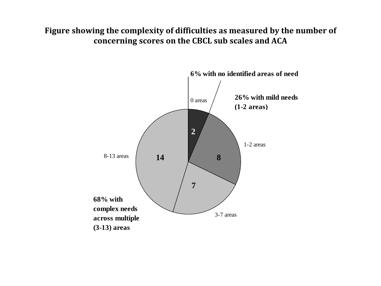#### **Figure showing the complexity of difficulties as measured by the number of concerning scores on the CBCL sub scales and ACA**

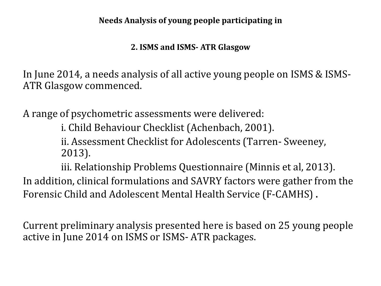**Needs Analysis of young people participating in** 

#### **2. ISMS and ISMS- ATR Glasgow**

In June 2014, a needs analysis of all active young people on ISMS & ISMS-ATR Glasgow commenced.

A range of psychometric assessments were delivered:

i. Child Behaviour Checklist (Achenbach, 2001).

ii. Assessment Checklist for Adolescents (Tarren- Sweeney, 2013).

iii. Relationship Problems Questionnaire (Minnis et al, 2013). In addition, clinical formulations and SAVRY factors were gather from the Forensic Child and Adolescent Mental Health Service (F-CAMHS) .

Current preliminary analysis presented here is based on 25 young people active in June 2014 on ISMS or ISMS- ATR packages.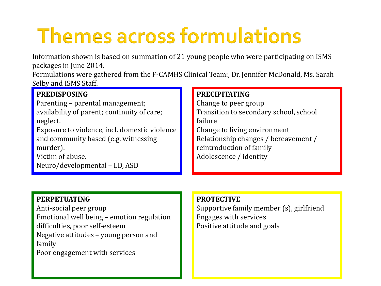# **Themes across formulations**

Information shown is based on summation of 21 young people who were participating on ISMS packages in June 2014.

Formulations were gathered from the F-CAMHS Clinical Team:, Dr. Jennifer McDonald, Ms. Sarah Selby and ISMS Staff.

| <b>PREDISPOSING</b><br>Parenting – parental management;<br>availability of parent; continuity of care;<br>neglect.<br>Exposure to violence, incl. domestic violence                                              | <b>PRECIPITATING</b><br>Change to peer group<br>Transition to secondary school, school<br>failure<br>Change to living environment |
|------------------------------------------------------------------------------------------------------------------------------------------------------------------------------------------------------------------|-----------------------------------------------------------------------------------------------------------------------------------|
| and community based (e.g. witnessing<br>murder).<br>Victim of abuse.<br>Neuro/developmental - LD, ASD                                                                                                            | Relationship changes / bereavement /<br>reintroduction of family<br>Adolescence / identity                                        |
|                                                                                                                                                                                                                  |                                                                                                                                   |
| <b>PERPETUATING</b><br>Anti-social peer group<br>Emotional well being – emotion regulation<br>difficulties, poor self-esteem<br>Negative attitudes – young person and<br>family<br>Poor engagement with services | <b>PROTECTIVE</b><br>Supportive family member (s), girlfriend<br><b>Engages with services</b><br>Positive attitude and goals      |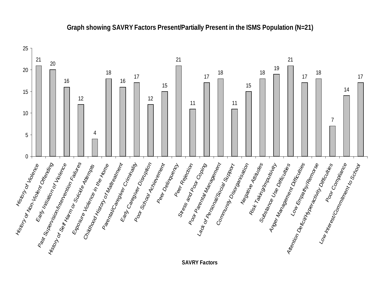

#### **Graph showing SAVRY Factors Present/Partially Present in the ISMS Population (N=21)**

**SAVRY Factors**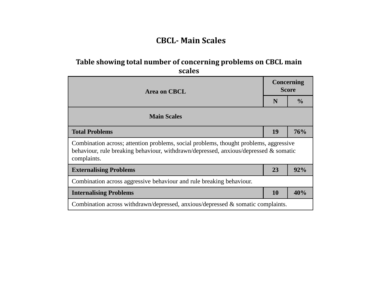#### **CBCL- Main Scales**

#### **Table showing total number of concerning problems on CBCL main scales**

| <b>Area on CBCL</b>                                                                                                                                                                          |    | Concerning<br><b>Score</b> |  |
|----------------------------------------------------------------------------------------------------------------------------------------------------------------------------------------------|----|----------------------------|--|
|                                                                                                                                                                                              |    | $\frac{0}{0}$              |  |
| <b>Main Scales</b>                                                                                                                                                                           |    |                            |  |
| <b>Total Problems</b>                                                                                                                                                                        |    | 76%                        |  |
| Combination across; attention problems, social problems, thought problems, aggressive<br>behaviour, rule breaking behaviour, withdrawn/depressed, anxious/depressed & somatic<br>complaints. |    |                            |  |
| <b>Externalising Problems</b>                                                                                                                                                                | 23 | 92%                        |  |
| Combination across aggressive behaviour and rule breaking behaviour.                                                                                                                         |    |                            |  |
| <b>Internalising Problems</b>                                                                                                                                                                | 10 | 40%                        |  |
| Combination across withdrawn/depressed, anxious/depressed $\&$ somatic complaints.                                                                                                           |    |                            |  |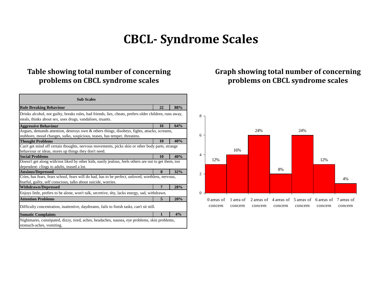## **CBCL- Syndrome Scales**

#### **Table showing total number of concerning problems on CBCL syndrome scales**

| <b>Sub Scales</b>                                                                                                                                                         |    |     |  |
|---------------------------------------------------------------------------------------------------------------------------------------------------------------------------|----|-----|--|
| <b>Rule Breaking Behaviour</b>                                                                                                                                            | 22 | 88% |  |
| Drinks alcohol, not guilty, breaks rules, bad friends, lies, cheats, prefers older children, runs away,<br>steals, thinks about sex, uses drugs, vandalises, truants.     |    |     |  |
| <b>Aggressive Behaviour</b>                                                                                                                                               | 16 | 64% |  |
| Argues, demands attention, destroys own & others things, disobeys, fights, attacks, screams,<br>stubborn, mood changes, sulks, suspicious, teases, has temper, threatens. |    |     |  |
| <b>Thought Problems</b>                                                                                                                                                   | 10 | 40% |  |
| Can't get mind off certain thoughts, nervous movements, picks skin or other body parts, strange<br>behaviour or ideas, stores up things they don't need.                  |    |     |  |
| <b>Social Problems</b>                                                                                                                                                    | 10 | 40% |  |
| Doesn't get along with/not liked by other kids, easily jealous, feels others are out to get them, too<br>dependent-clings to adults, teased a lot.                        |    |     |  |
| <b>Anxious/Depressed</b>                                                                                                                                                  | 8  | 32% |  |
| Cries, has fears, fears school, fears will do bad, has to be perfect, unloved, worthless, nervous,<br>fearful, guilty, self conscious, talks about suicide, worries.      |    |     |  |
| <b>Withdrawn/Depressed</b>                                                                                                                                                | 7  | 28% |  |
| Enjoys little, prefers to be alone, won't talk, secretive, shy, lacks energy, sad, withdrawn.                                                                             |    |     |  |
| <b>Attention Problems</b>                                                                                                                                                 | 5  | 20% |  |
| Difficulty concentration, inattentive, daydreams, fails to finish tasks, can't sit still.                                                                                 |    |     |  |
| <b>Somatic Complaints</b>                                                                                                                                                 | 1  | 4%  |  |
| Nightmares, constipated, dizzy, tired, aches, headaches, nausea, eye problems, skin problems,<br>stomach-aches, vomiting.                                                 |    |     |  |

#### **Graph showing total number of concerning problems on CBCL syndrome scales**

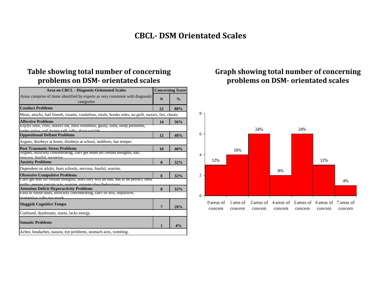#### **CBCL- DSM Orientated Scales**

#### **Table showing total number of concerning problems on DSM- orientated scales**

| <b>Area on CBCL - Diagnosis Orientated Scales</b>                                                                                                   |    | <b>Concerning Score</b> |  |
|-----------------------------------------------------------------------------------------------------------------------------------------------------|----|-------------------------|--|
| Areas comprise of items identified by experts as very consistent with diagnostic<br>categories                                                      | N  | $\frac{0}{0}$           |  |
| <b>Conduct Problems</b>                                                                                                                             | 22 | 88%                     |  |
| Mean, attacks, bad friends, truants, vandalises, steals, breaks rules, no guilt, swears, lies, cheats.                                              |    |                         |  |
| <b>Affective Problems</b>                                                                                                                           | 14 | 56%                     |  |
| Enjoys little, cries, doesn't eat, reels worthless, guilty, tired, sleep problems,<br>under active, cad, harms self, talks about suicide            |    |                         |  |
| <b>Oppositional Defiant Problems</b>                                                                                                                | 12 | 48%                     |  |
| Argues, disobeys at home, disobeys at school, stubborn, has temper.                                                                                 |    |                         |  |
| <b>Post Traumatic Stress Problems</b>                                                                                                               | 10 | 40%                     |  |
| Argues, difficulty concentrating, can't get mind off certain thoughts, sad,<br>nervous fearful secretive                                            |    |                         |  |
| <b>Anxiety Problems</b>                                                                                                                             | 8  | 32%                     |  |
| Dependent on adults, fears schools, nervous, fearful, worries.                                                                                      |    |                         |  |
| <b>Obsessive Compulsive Problems</b>                                                                                                                | 8  | 32%                     |  |
| Can't get mid off certain thoughts, tears they will do bad, has to be perfect, feels<br>multy repeate certain acte worries strange ideas/hebaviours |    |                         |  |
| <b>Attention Deficit Hyperactivity Problems</b>                                                                                                     | 8  | 32%                     |  |
| Fails to finish tasks, difficulty concentrating, can't sit still, impulsive,<br>inattentive talks too much                                          |    |                         |  |
|                                                                                                                                                     |    |                         |  |
| <b>Sluggish Cognitive Tempo</b>                                                                                                                     | 7  | 28%                     |  |
| Confused, daydreams, stares, lacks energy.                                                                                                          |    |                         |  |
| <b>Somatic Problems</b>                                                                                                                             | 1  | 4%                      |  |
| Aches, headaches, nausea, eye problems, stomach aces, vomiting.                                                                                     |    |                         |  |

#### **Graph showing total number of concerning problems on DSM- orientated scales**

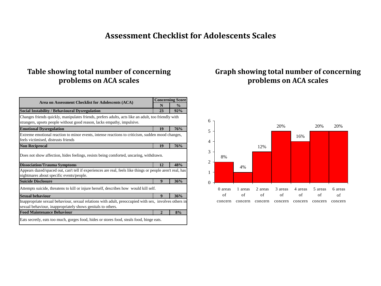#### **Assessment Checklist for Adolescents Scales**

#### **Table showing total number of concerning problems on ACA scales**

| Area on Assessment Checklist for Adolescents (ACA)                                                                                                                             |                | <b>Concerning Score</b> |  |
|--------------------------------------------------------------------------------------------------------------------------------------------------------------------------------|----------------|-------------------------|--|
|                                                                                                                                                                                |                | $\frac{0}{0}$           |  |
| <b>Social Instability / Behavioural Dysregulation</b>                                                                                                                          | 23             | 92%                     |  |
| Changes friends quickly, manipulates friends, prefers adults, acts like an adult, too friendly with<br>strangers, upsets people without good reason, lacks empathy, impulsive. |                |                         |  |
| <b>Emotional Dysregulation</b>                                                                                                                                                 | 19             | 76%                     |  |
| Extreme emotional reaction to minor events, intense reactions to criticism, sudden mood changes,<br>feels victimised, distrusts friends                                        |                |                         |  |
| <b>Non Reciprocal</b>                                                                                                                                                          | 19             | 76%                     |  |
| Does not show affection, hides feelings, resists being comforted, uncaring, withdrawn.<br><b>Dissociation/Trauma Symptoms</b><br>12<br>48%                                     |                |                         |  |
| Appears dazed/spaced out, can't tell if experiences are real, feels like things or people aren't real, has                                                                     |                |                         |  |
| nightmares about specific events/people.                                                                                                                                       |                |                         |  |
| <b>Suicide Disclosure</b>                                                                                                                                                      | 9              | 36%                     |  |
| Attempts suicide, threatens to kill or injure herself, describes how would kill self.                                                                                          |                |                         |  |
| <b>Sexual behaviour</b>                                                                                                                                                        | 9              | 36%                     |  |
| Inappropriate sexual behaviour, sexual relations with adult, preoccupied with sex, involves others in<br>sexual behaviour, inappropriately shows genitals to others.           |                |                         |  |
| <b>Food Maintenance Behaviour</b>                                                                                                                                              | $\overline{2}$ | 8%                      |  |
| Eats secretly, eats too much, gorges food, hides or stores food, steals food, binge eats.                                                                                      |                |                         |  |

#### **Graph showing total number of concerning problems on ACA scales**

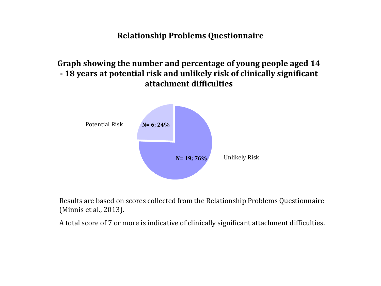**Relationship Problems Questionnaire**

**Graph showing the number and percentage of young people aged 14 - 18 years at potential risk and unlikely risk of clinically significant attachment difficulties**



Results are based on scores collected from the Relationship Problems Questionnaire (Minnis et al., 2013).

A total score of 7 or more is indicative of clinically significant attachment difficulties.